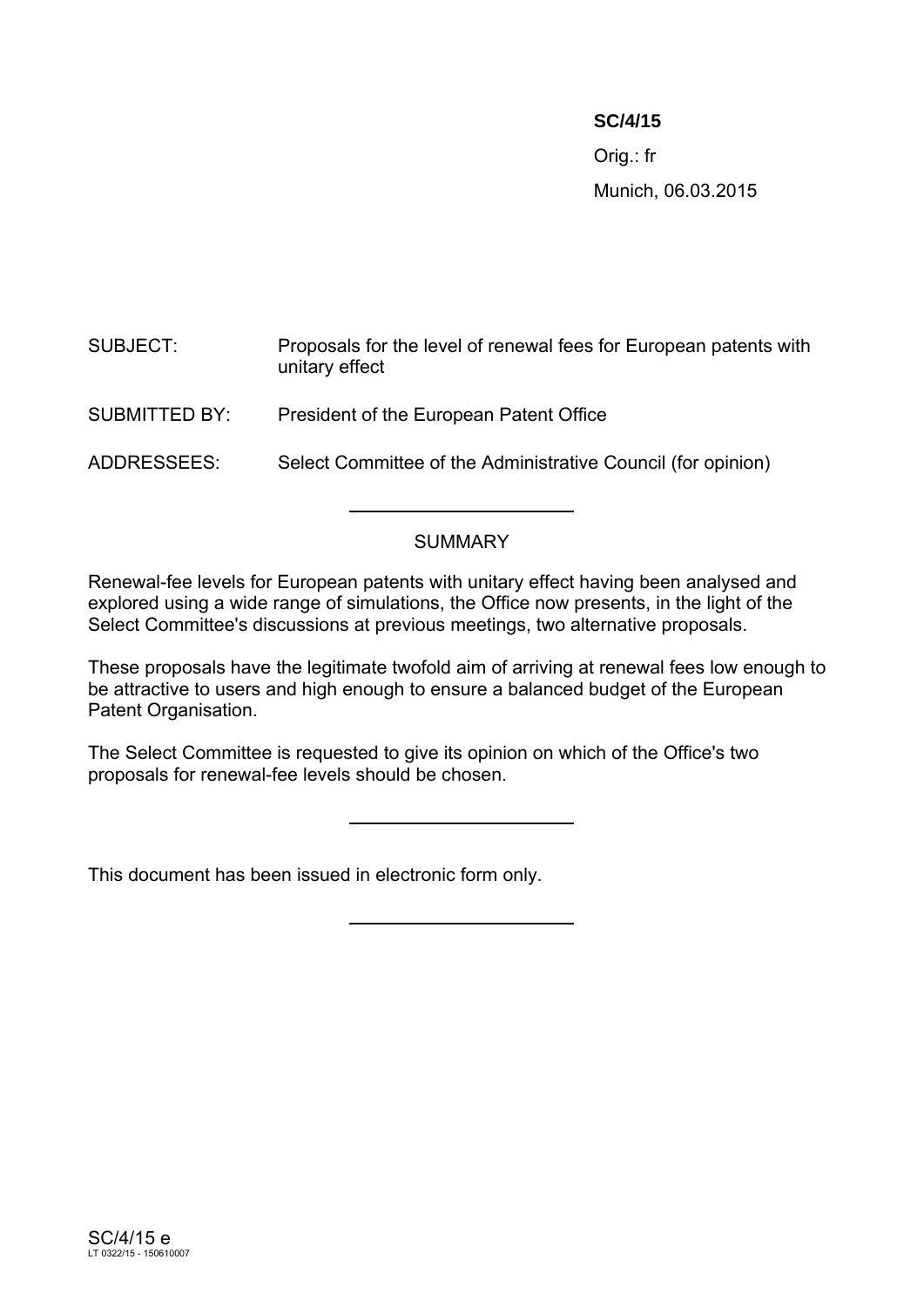### **SC/4/15**

Orig.: fr Munich, 06.03.2015

SUBJECT: Proposals for the level of renewal fees for European patents with unitary effect SUBMITTED BY: President of the European Patent Office ADDRESSEES: Select Committee of the Administrative Council (for opinion)

### **SUMMARY**

Renewal-fee levels for European patents with unitary effect having been analysed and explored using a wide range of simulations, the Office now presents, in the light of the Select Committee's discussions at previous meetings, two alternative proposals.

These proposals have the legitimate twofold aim of arriving at renewal fees low enough to be attractive to users and high enough to ensure a balanced budget of the European Patent Organisation.

The Select Committee is requested to give its opinion on which of the Office's two proposals for renewal-fee levels should be chosen.

This document has been issued in electronic form only.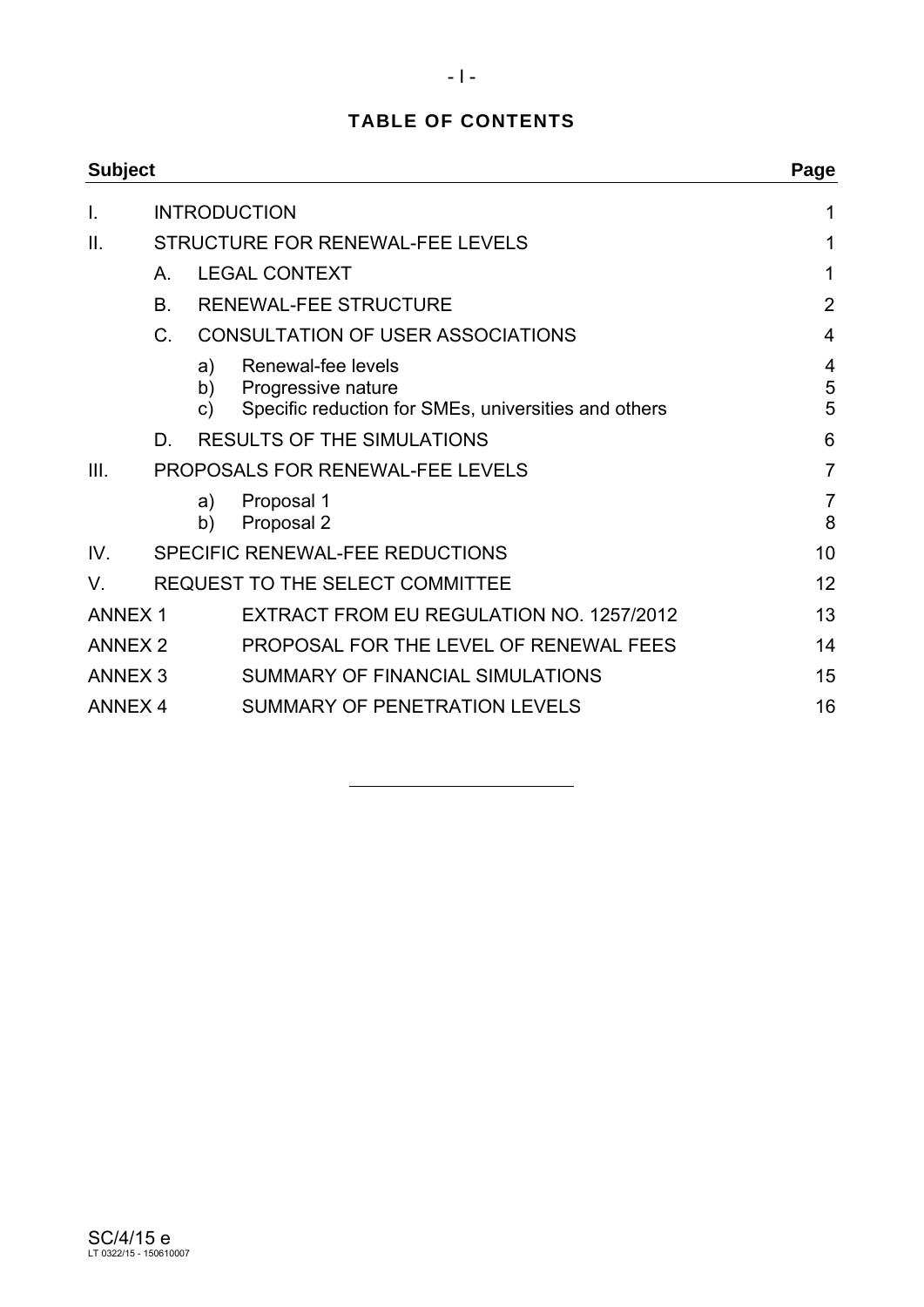# **TABLE OF CONTENTS**

| <b>Subject</b> |                                                         |                |                                                                                                  | Page                     |  |  |  |  |
|----------------|---------------------------------------------------------|----------------|--------------------------------------------------------------------------------------------------|--------------------------|--|--|--|--|
| Ι.             |                                                         |                | <b>INTRODUCTION</b>                                                                              | 1                        |  |  |  |  |
| $\prod$        | STRUCTURE FOR RENEWAL-FEE LEVELS                        | 1              |                                                                                                  |                          |  |  |  |  |
|                | $\mathsf{A}$                                            |                | <b>LEGAL CONTEXT</b>                                                                             | 1                        |  |  |  |  |
|                | <b>RENEWAL-FEE STRUCTURE</b><br>B <sub>1</sub>          |                |                                                                                                  |                          |  |  |  |  |
|                | <b>CONSULTATION OF USER ASSOCIATIONS</b><br>$C_{\cdot}$ |                |                                                                                                  |                          |  |  |  |  |
|                |                                                         | a)<br>b)<br>C) | Renewal-fee levels<br>Progressive nature<br>Specific reduction for SMEs, universities and others | $\overline{4}$<br>5<br>5 |  |  |  |  |
|                | D.                                                      |                | <b>RESULTS OF THE SIMULATIONS</b>                                                                | 6                        |  |  |  |  |
| III.           | PROPOSALS FOR RENEWAL-FEE LEVELS                        | $\overline{7}$ |                                                                                                  |                          |  |  |  |  |
|                |                                                         | a)<br>b)       | Proposal 1<br>Proposal 2                                                                         | $\overline{7}$<br>8      |  |  |  |  |
| IV.            |                                                         |                | SPECIFIC RENEWAL-FEE REDUCTIONS                                                                  | 10                       |  |  |  |  |
| V.             |                                                         |                | REQUEST TO THE SELECT COMMITTEE                                                                  | 12                       |  |  |  |  |
| <b>ANNEX 1</b> |                                                         |                | EXTRACT FROM EU REGULATION NO. 1257/2012                                                         | 13                       |  |  |  |  |
| <b>ANNEX 2</b> |                                                         |                | PROPOSAL FOR THE LEVEL OF RENEWAL FEES                                                           | 14                       |  |  |  |  |
| <b>ANNEX 3</b> |                                                         |                | SUMMARY OF FINANCIAL SIMULATIONS                                                                 | 15                       |  |  |  |  |
| <b>ANNEX 4</b> |                                                         |                | <b>SUMMARY OF PENETRATION LEVELS</b>                                                             |                          |  |  |  |  |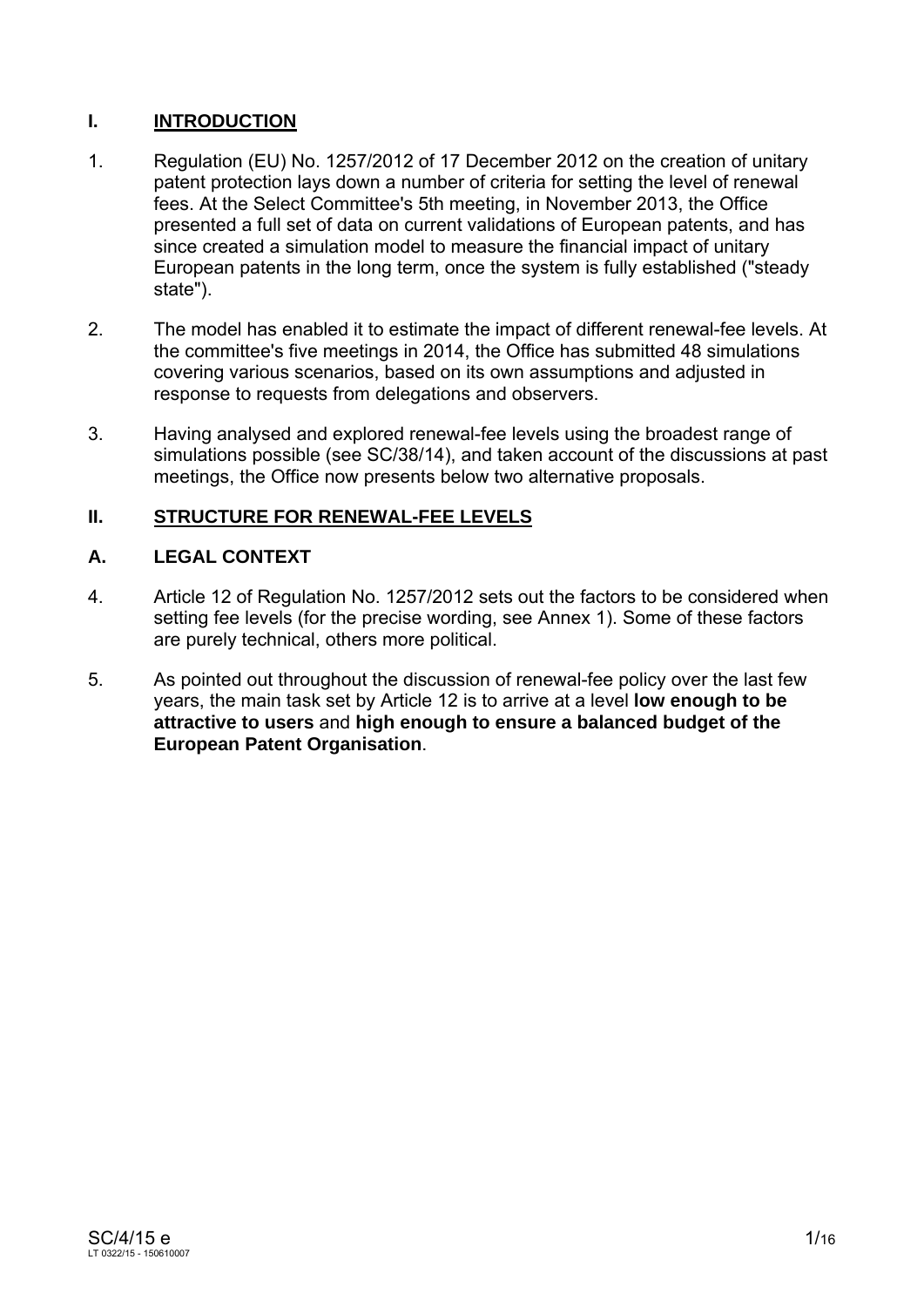# **I. INTRODUCTION**

- 1. Regulation (EU) No. 1257/2012 of 17 December 2012 on the creation of unitary patent protection lays down a number of criteria for setting the level of renewal fees. At the Select Committee's 5th meeting, in November 2013, the Office presented a full set of data on current validations of European patents, and has since created a simulation model to measure the financial impact of unitary European patents in the long term, once the system is fully established ("steady state").
- 2. The model has enabled it to estimate the impact of different renewal-fee levels. At the committee's five meetings in 2014, the Office has submitted 48 simulations covering various scenarios, based on its own assumptions and adjusted in response to requests from delegations and observers.
- 3. Having analysed and explored renewal-fee levels using the broadest range of simulations possible (see SC/38/14), and taken account of the discussions at past meetings, the Office now presents below two alternative proposals.

# **II. STRUCTURE FOR RENEWAL-FEE LEVELS**

### **A. LEGAL CONTEXT**

- 4. Article 12 of Regulation No. 1257/2012 sets out the factors to be considered when setting fee levels (for the precise wording, see Annex 1). Some of these factors are purely technical, others more political.
- 5. As pointed out throughout the discussion of renewal-fee policy over the last few years, the main task set by Article 12 is to arrive at a level **low enough to be attractive to users** and **high enough to ensure a balanced budget of the European Patent Organisation**.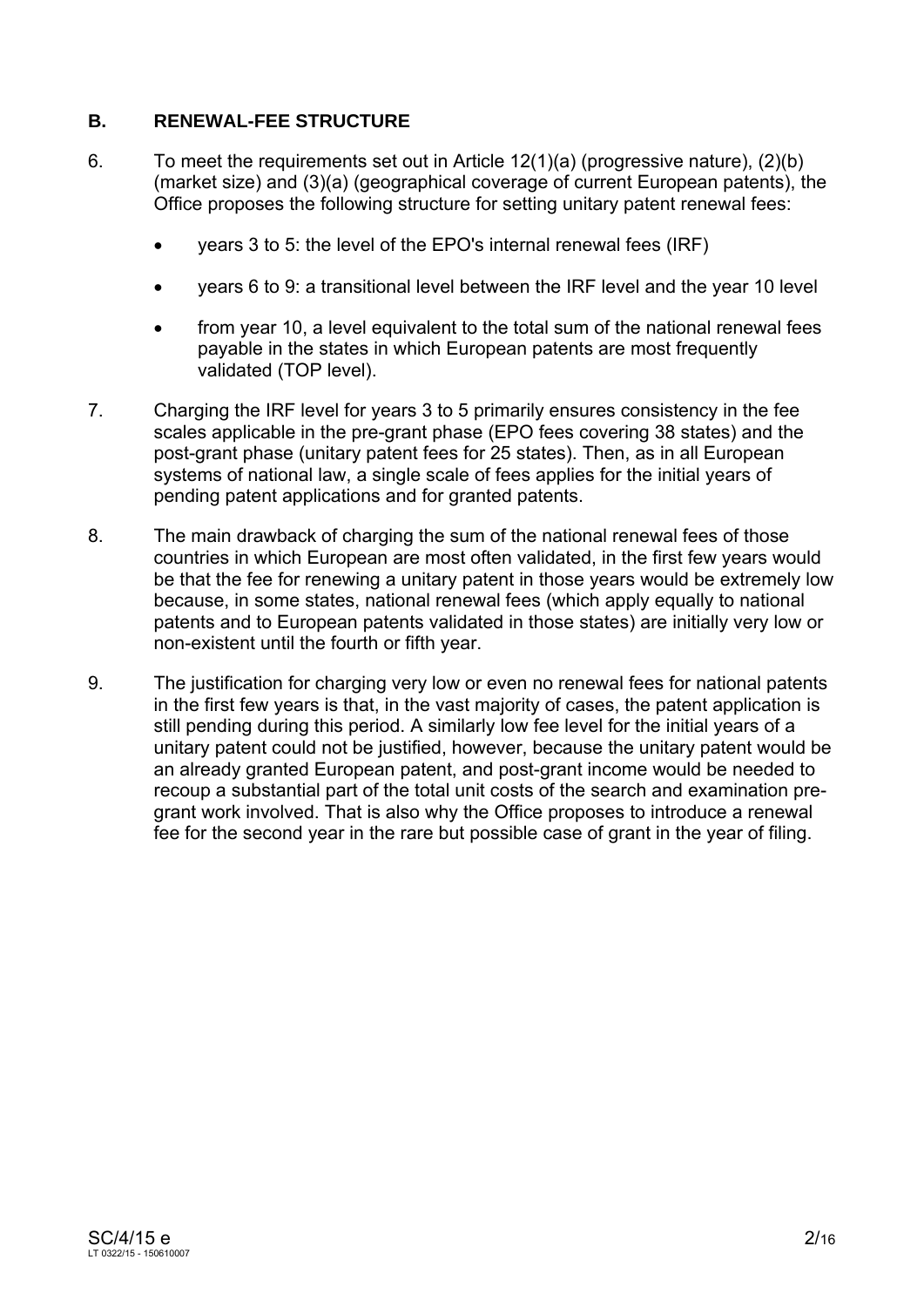# **B. RENEWAL-FEE STRUCTURE**

- 6. To meet the requirements set out in Article 12(1)(a) (progressive nature), (2)(b) (market size) and (3)(a) (geographical coverage of current European patents), the Office proposes the following structure for setting unitary patent renewal fees:
	- years 3 to 5: the level of the EPO's internal renewal fees (IRF)
	- years 6 to 9: a transitional level between the IRF level and the year 10 level
	- from year 10, a level equivalent to the total sum of the national renewal fees payable in the states in which European patents are most frequently validated (TOP level).
- 7. Charging the IRF level for years 3 to 5 primarily ensures consistency in the fee scales applicable in the pre-grant phase (EPO fees covering 38 states) and the post-grant phase (unitary patent fees for 25 states). Then, as in all European systems of national law, a single scale of fees applies for the initial years of pending patent applications and for granted patents.
- 8. The main drawback of charging the sum of the national renewal fees of those countries in which European are most often validated, in the first few years would be that the fee for renewing a unitary patent in those years would be extremely low because, in some states, national renewal fees (which apply equally to national patents and to European patents validated in those states) are initially very low or non-existent until the fourth or fifth year.
- 9. The justification for charging very low or even no renewal fees for national patents in the first few years is that, in the vast majority of cases, the patent application is still pending during this period. A similarly low fee level for the initial years of a unitary patent could not be justified, however, because the unitary patent would be an already granted European patent, and post-grant income would be needed to recoup a substantial part of the total unit costs of the search and examination pregrant work involved. That is also why the Office proposes to introduce a renewal fee for the second year in the rare but possible case of grant in the year of filing.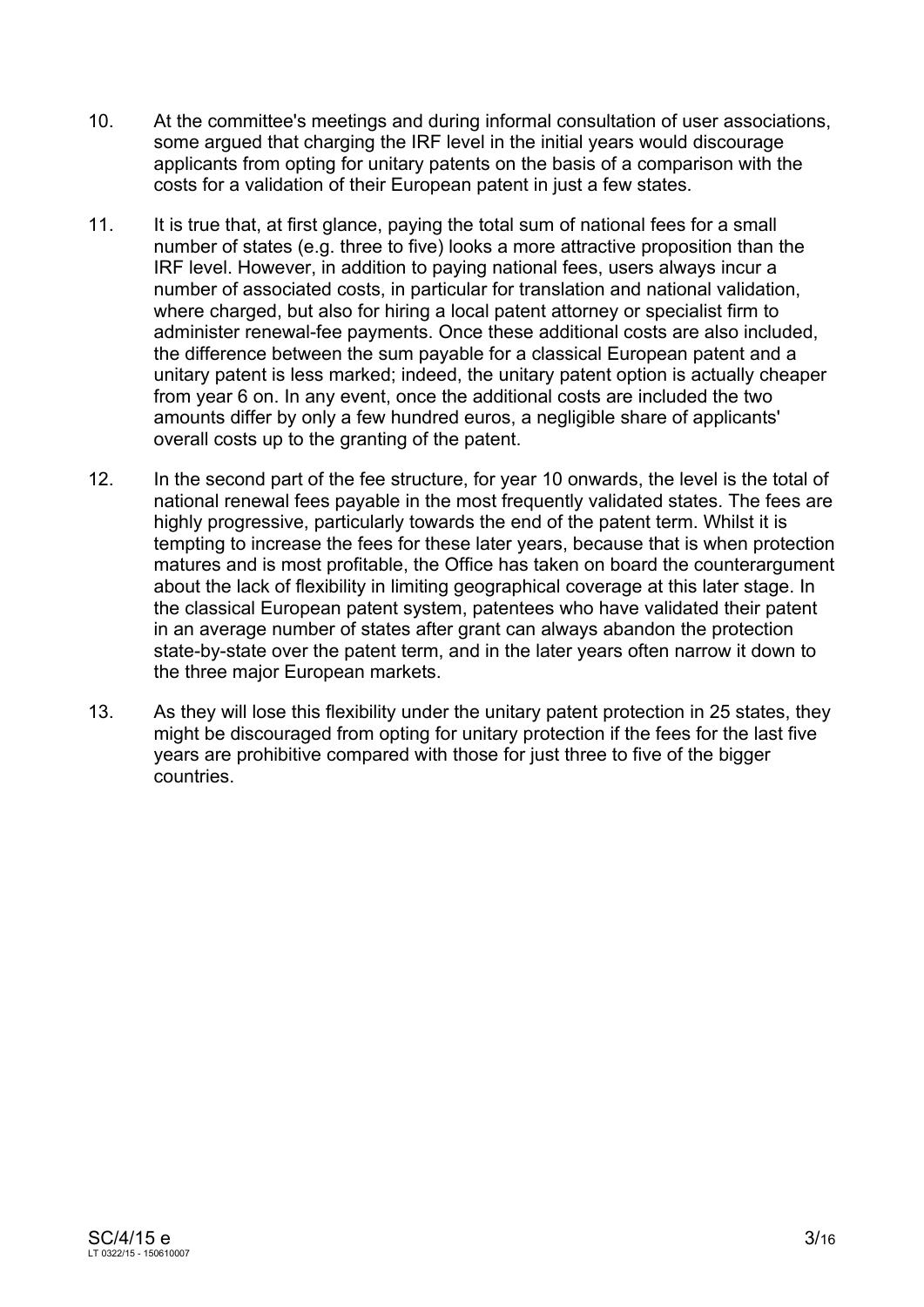- 10. At the committee's meetings and during informal consultation of user associations, some argued that charging the IRF level in the initial years would discourage applicants from opting for unitary patents on the basis of a comparison with the costs for a validation of their European patent in just a few states.
- 11. It is true that, at first glance, paying the total sum of national fees for a small number of states (e.g. three to five) looks a more attractive proposition than the IRF level. However, in addition to paying national fees, users always incur a number of associated costs, in particular for translation and national validation, where charged, but also for hiring a local patent attorney or specialist firm to administer renewal-fee payments. Once these additional costs are also included, the difference between the sum payable for a classical European patent and a unitary patent is less marked; indeed, the unitary patent option is actually cheaper from year 6 on. In any event, once the additional costs are included the two amounts differ by only a few hundred euros, a negligible share of applicants' overall costs up to the granting of the patent.
- 12. In the second part of the fee structure, for year 10 onwards, the level is the total of national renewal fees payable in the most frequently validated states. The fees are highly progressive, particularly towards the end of the patent term. Whilst it is tempting to increase the fees for these later years, because that is when protection matures and is most profitable, the Office has taken on board the counterargument about the lack of flexibility in limiting geographical coverage at this later stage. In the classical European patent system, patentees who have validated their patent in an average number of states after grant can always abandon the protection state-by-state over the patent term, and in the later years often narrow it down to the three major European markets.
- 13. As they will lose this flexibility under the unitary patent protection in 25 states, they might be discouraged from opting for unitary protection if the fees for the last five years are prohibitive compared with those for just three to five of the bigger countries.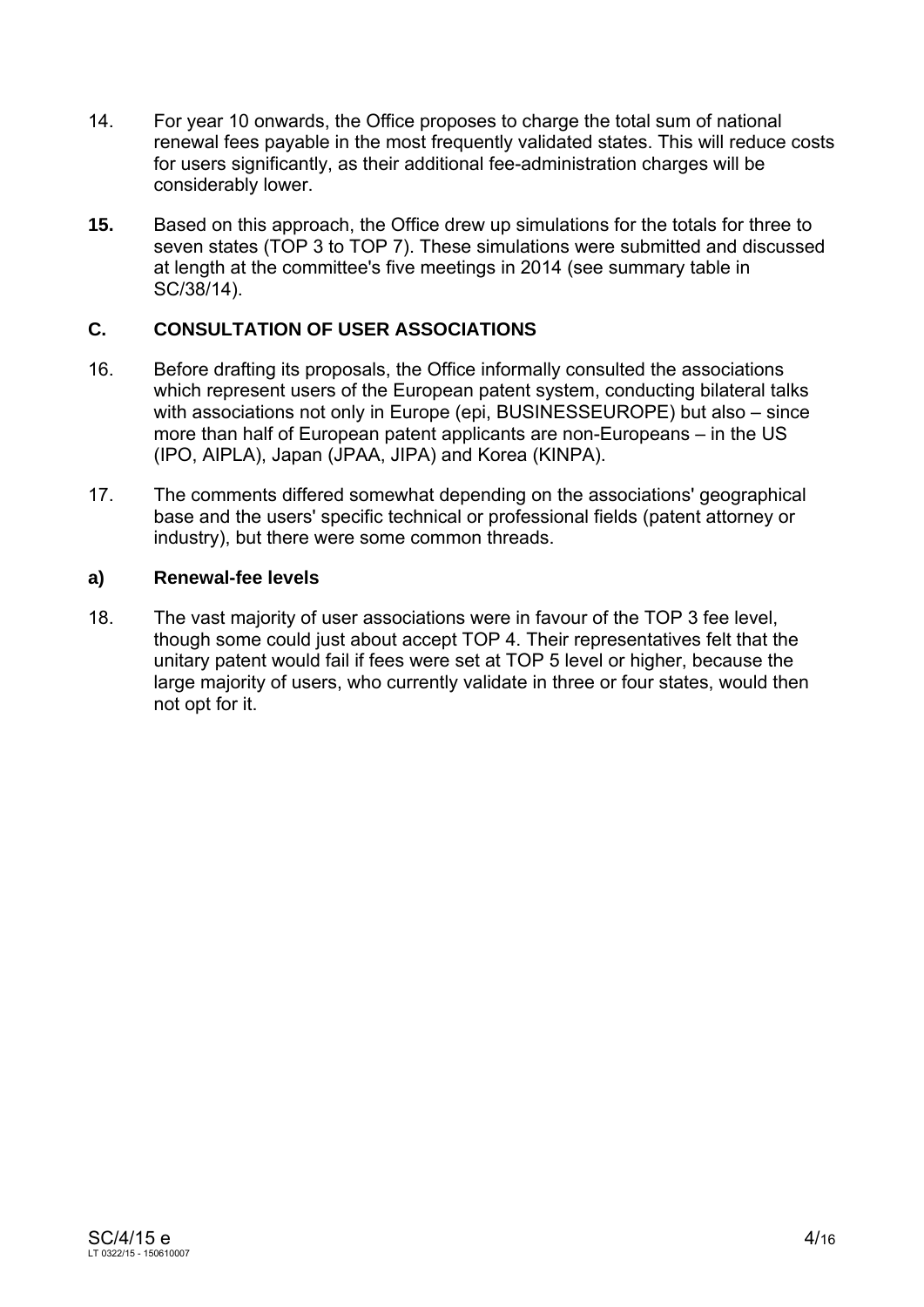- 14. For year 10 onwards, the Office proposes to charge the total sum of national renewal fees payable in the most frequently validated states. This will reduce costs for users significantly, as their additional fee-administration charges will be considerably lower.
- **15.** Based on this approach, the Office drew up simulations for the totals for three to seven states (TOP 3 to TOP 7). These simulations were submitted and discussed at length at the committee's five meetings in 2014 (see summary table in SC/38/14).

### **C. CONSULTATION OF USER ASSOCIATIONS**

- 16. Before drafting its proposals, the Office informally consulted the associations which represent users of the European patent system, conducting bilateral talks with associations not only in Europe (epi, BUSINESSEUROPE) but also – since more than half of European patent applicants are non-Europeans – in the US (IPO, AIPLA), Japan (JPAA, JIPA) and Korea (KINPA).
- 17. The comments differed somewhat depending on the associations' geographical base and the users' specific technical or professional fields (patent attorney or industry), but there were some common threads.

#### **a) Renewal-fee levels**

18. The vast majority of user associations were in favour of the TOP 3 fee level, though some could just about accept TOP 4. Their representatives felt that the unitary patent would fail if fees were set at TOP 5 level or higher, because the large majority of users, who currently validate in three or four states, would then not opt for it.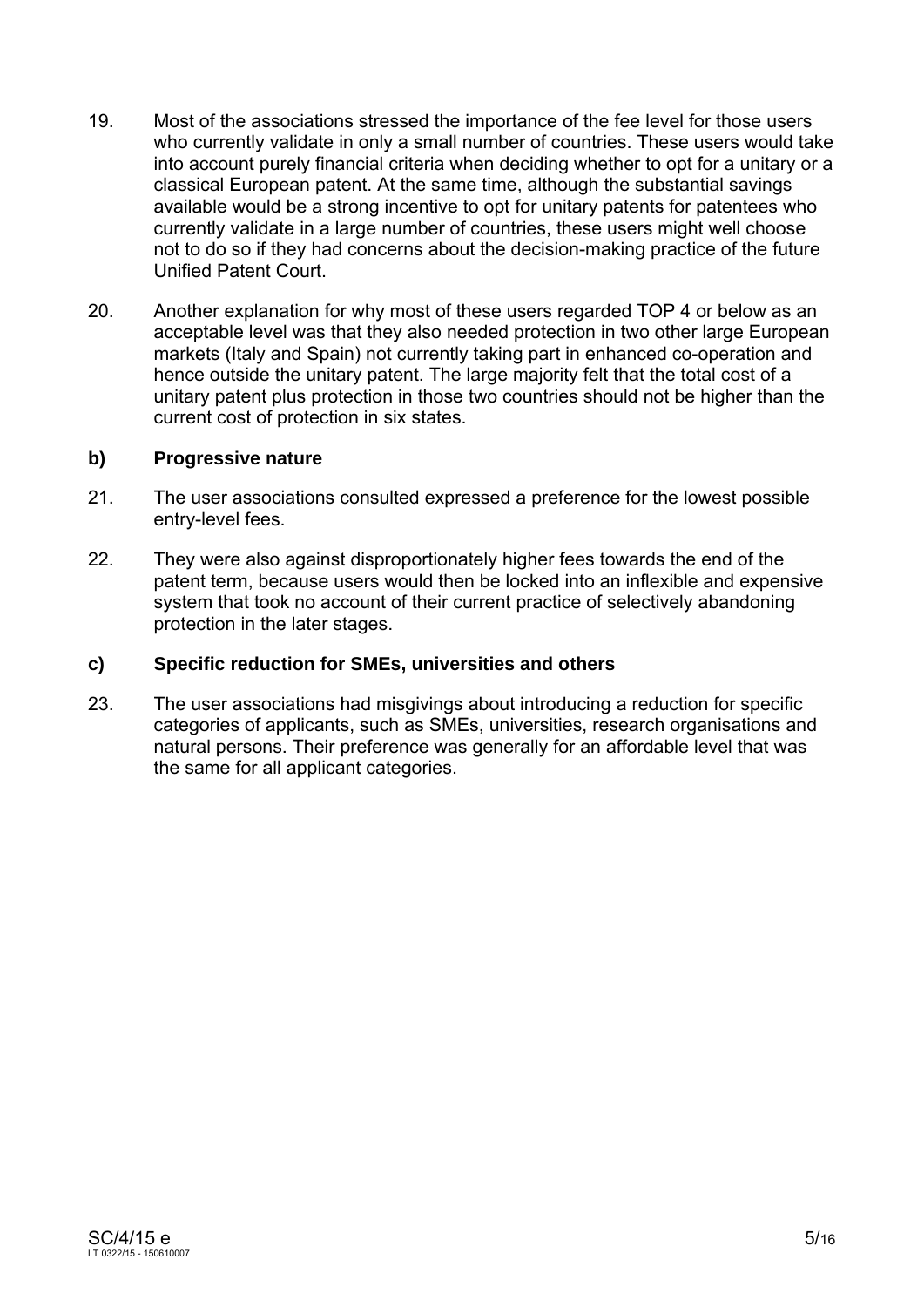- 19. Most of the associations stressed the importance of the fee level for those users who currently validate in only a small number of countries. These users would take into account purely financial criteria when deciding whether to opt for a unitary or a classical European patent. At the same time, although the substantial savings available would be a strong incentive to opt for unitary patents for patentees who currently validate in a large number of countries, these users might well choose not to do so if they had concerns about the decision-making practice of the future Unified Patent Court.
- 20. Another explanation for why most of these users regarded TOP 4 or below as an acceptable level was that they also needed protection in two other large European markets (Italy and Spain) not currently taking part in enhanced co-operation and hence outside the unitary patent. The large majority felt that the total cost of a unitary patent plus protection in those two countries should not be higher than the current cost of protection in six states.

#### **b) Progressive nature**

- 21. The user associations consulted expressed a preference for the lowest possible entry-level fees.
- 22. They were also against disproportionately higher fees towards the end of the patent term, because users would then be locked into an inflexible and expensive system that took no account of their current practice of selectively abandoning protection in the later stages.

#### **c) Specific reduction for SMEs, universities and others**

23. The user associations had misgivings about introducing a reduction for specific categories of applicants, such as SMEs, universities, research organisations and natural persons. Their preference was generally for an affordable level that was the same for all applicant categories.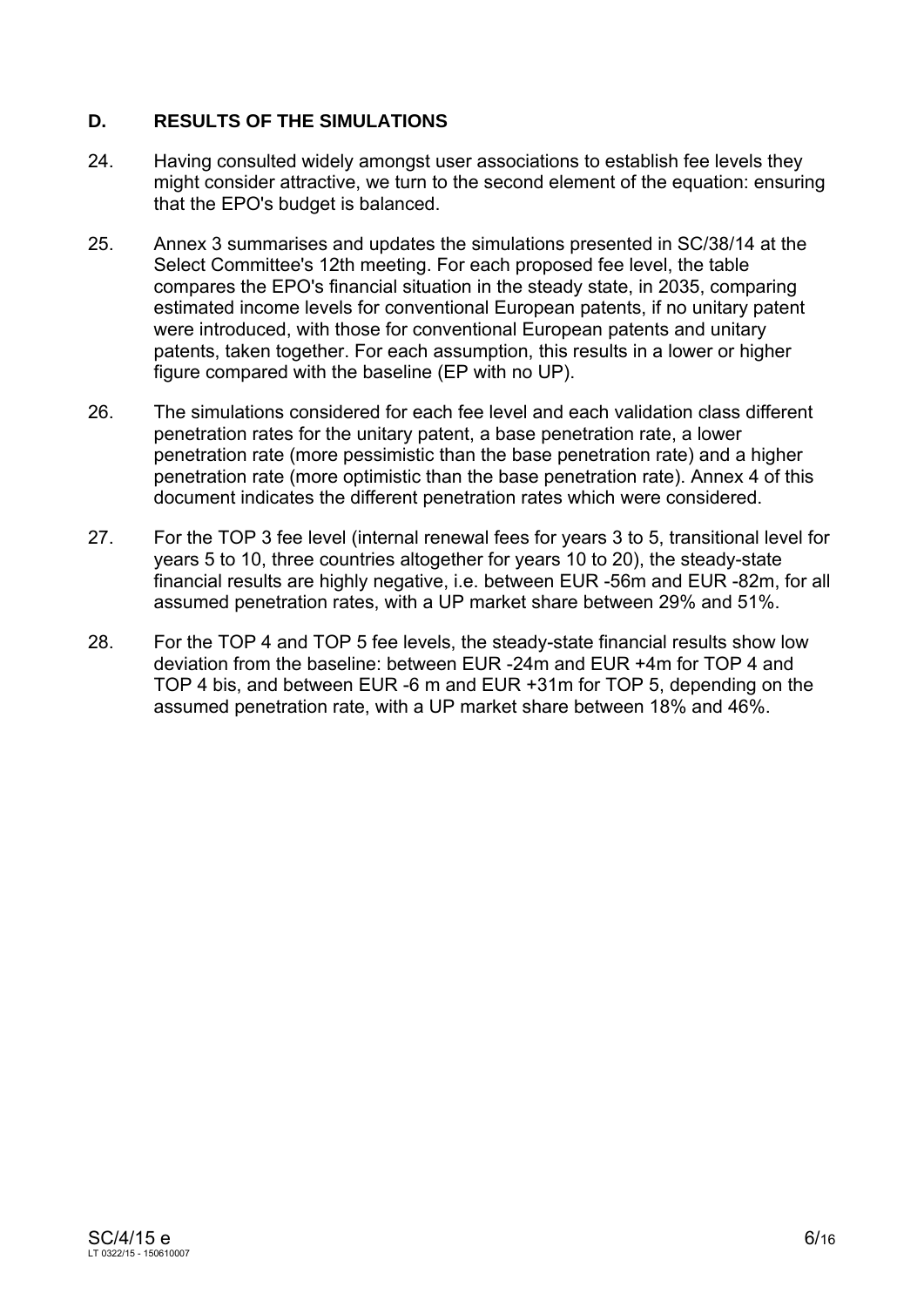### **D. RESULTS OF THE SIMULATIONS**

- 24. Having consulted widely amongst user associations to establish fee levels they might consider attractive, we turn to the second element of the equation: ensuring that the EPO's budget is balanced.
- 25. Annex 3 summarises and updates the simulations presented in SC/38/14 at the Select Committee's 12th meeting. For each proposed fee level, the table compares the EPO's financial situation in the steady state, in 2035, comparing estimated income levels for conventional European patents, if no unitary patent were introduced, with those for conventional European patents and unitary patents, taken together. For each assumption, this results in a lower or higher figure compared with the baseline (EP with no UP).
- 26. The simulations considered for each fee level and each validation class different penetration rates for the unitary patent, a base penetration rate, a lower penetration rate (more pessimistic than the base penetration rate) and a higher penetration rate (more optimistic than the base penetration rate). Annex 4 of this document indicates the different penetration rates which were considered.
- 27. For the TOP 3 fee level (internal renewal fees for years 3 to 5, transitional level for years 5 to 10, three countries altogether for years 10 to 20), the steady-state financial results are highly negative, i.e. between EUR -56m and EUR -82m, for all assumed penetration rates, with a UP market share between 29% and 51%.
- 28. For the TOP 4 and TOP 5 fee levels, the steady-state financial results show low deviation from the baseline: between EUR -24m and EUR +4m for TOP 4 and TOP 4 bis, and between EUR -6 m and EUR +31m for TOP 5, depending on the assumed penetration rate, with a UP market share between 18% and 46%.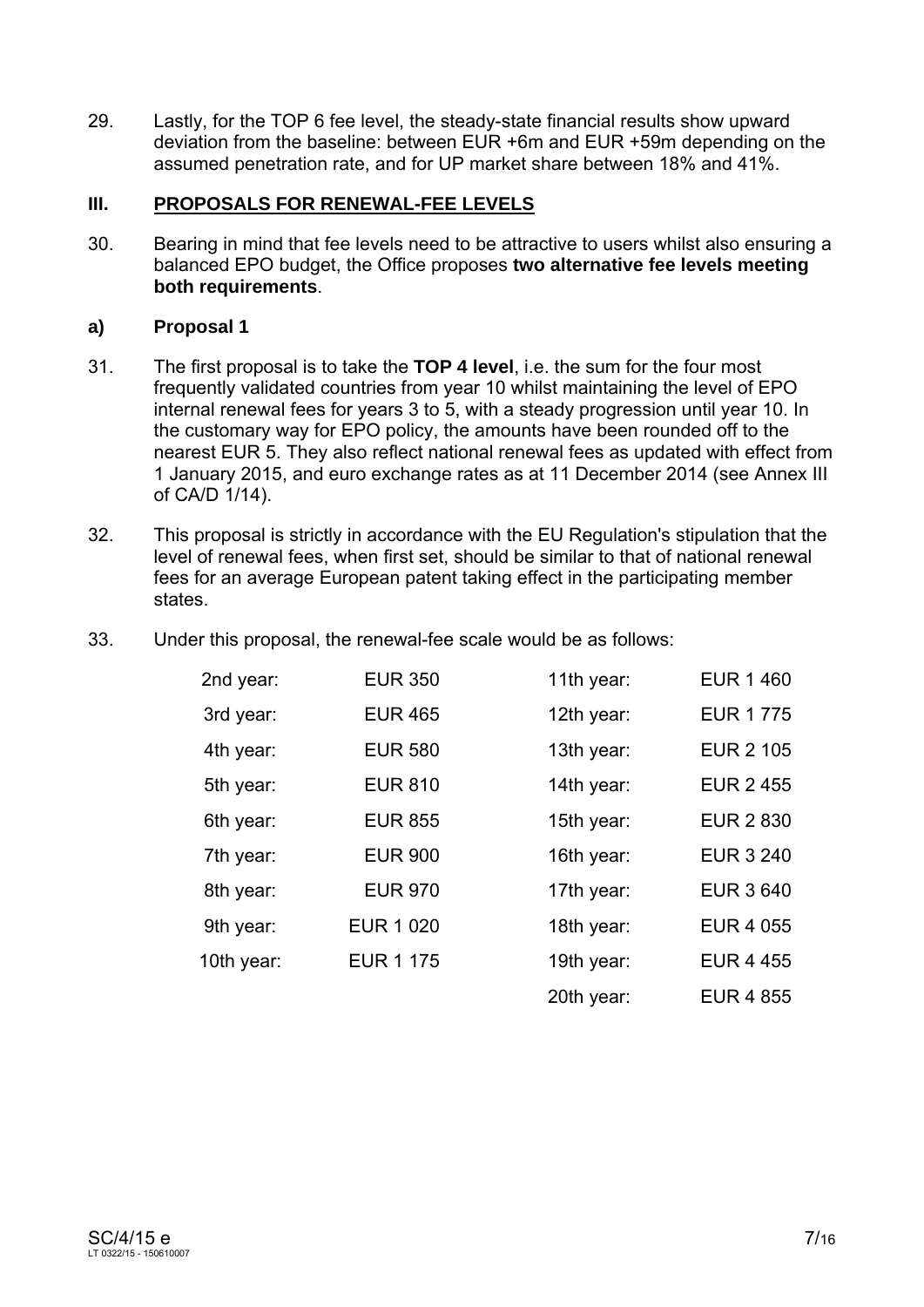29. Lastly, for the TOP 6 fee level, the steady-state financial results show upward deviation from the baseline: between EUR +6m and EUR +59m depending on the assumed penetration rate, and for UP market share between 18% and 41%.

### **III. PROPOSALS FOR RENEWAL-FEE LEVELS**

30. Bearing in mind that fee levels need to be attractive to users whilst also ensuring a balanced EPO budget, the Office proposes **two alternative fee levels meeting both requirements**.

#### **a) Proposal 1**

- 31. The first proposal is to take the **TOP 4 level**, i.e. the sum for the four most frequently validated countries from year 10 whilst maintaining the level of EPO internal renewal fees for years 3 to 5, with a steady progression until year 10. In the customary way for EPO policy, the amounts have been rounded off to the nearest EUR 5. They also reflect national renewal fees as updated with effect from 1 January 2015, and euro exchange rates as at 11 December 2014 (see Annex III of CA/D 1/14).
- 32. This proposal is strictly in accordance with the EU Regulation's stipulation that the level of renewal fees, when first set, should be similar to that of national renewal fees for an average European patent taking effect in the participating member states.
- 33. Under this proposal, the renewal-fee scale would be as follows:

| 2nd year:  | <b>EUR 350</b>   | 11th year: | <b>EUR 1 460</b> |
|------------|------------------|------------|------------------|
| 3rd year:  | <b>EUR 465</b>   | 12th year: | <b>EUR 1775</b>  |
| 4th year:  | <b>EUR 580</b>   | 13th year: | <b>EUR 2 105</b> |
| 5th year:  | <b>EUR 810</b>   | 14th year: | <b>EUR 2 455</b> |
| 6th year:  | <b>EUR 855</b>   | 15th year: | <b>EUR 2 830</b> |
| 7th year:  | <b>EUR 900</b>   | 16th year: | <b>EUR 3 240</b> |
| 8th year:  | <b>EUR 970</b>   | 17th year: | <b>EUR 3 640</b> |
| 9th year:  | <b>EUR 1 020</b> | 18th year: | <b>EUR 4 055</b> |
| 10th year: | <b>EUR 1 175</b> | 19th year: | <b>EUR 4 455</b> |
|            |                  | 20th year: | <b>EUR 4 855</b> |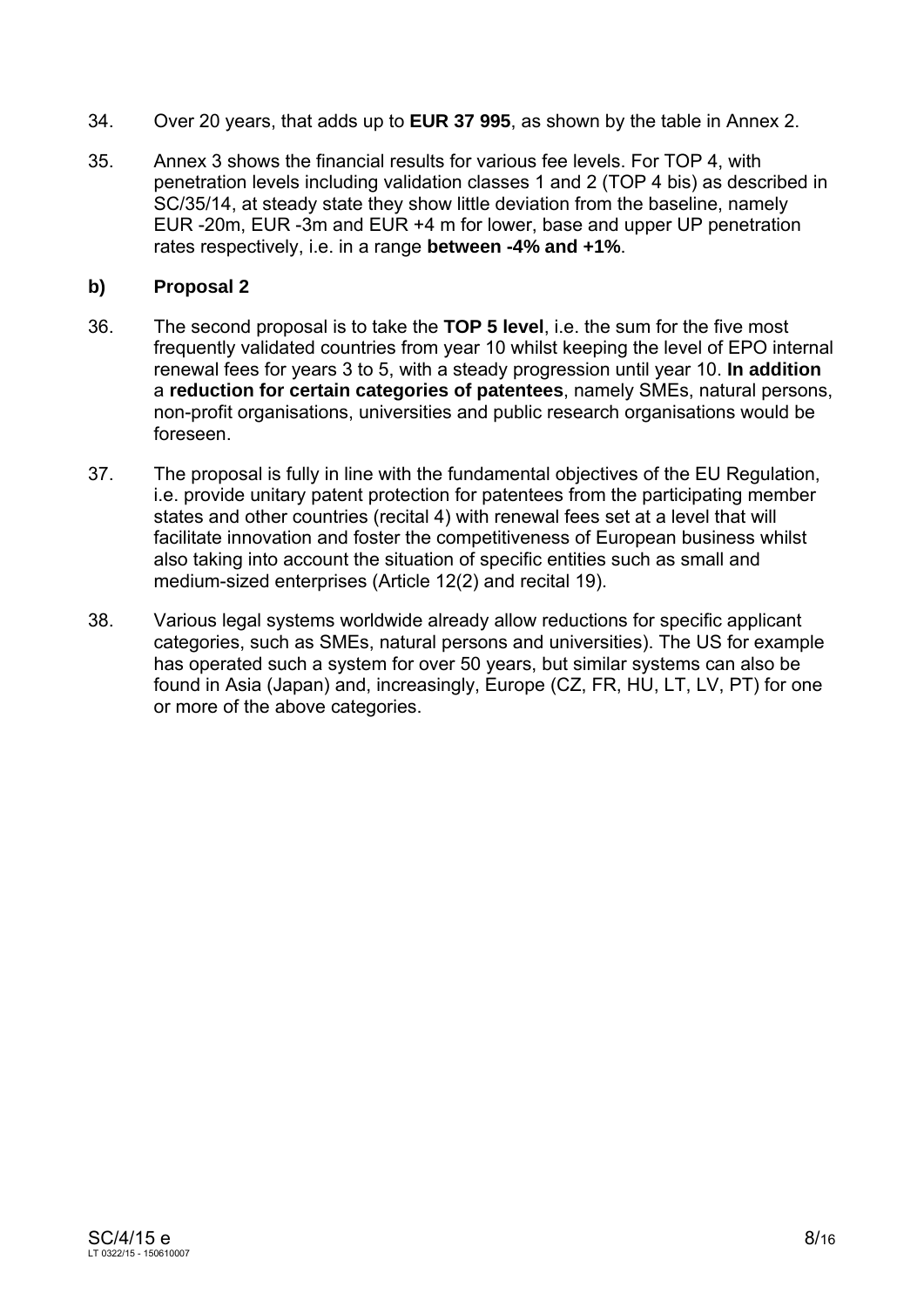- 34. Over 20 years, that adds up to **EUR 37 995**, as shown by the table in Annex 2.
- 35. Annex 3 shows the financial results for various fee levels. For TOP 4, with penetration levels including validation classes 1 and 2 (TOP 4 bis) as described in SC/35/14, at steady state they show little deviation from the baseline, namely EUR -20m, EUR -3m and EUR +4 m for lower, base and upper UP penetration rates respectively, i.e. in a range **between -4% and +1%**.

#### **b) Proposal 2**

- 36. The second proposal is to take the **TOP 5 level**, i.e. the sum for the five most frequently validated countries from year 10 whilst keeping the level of EPO internal renewal fees for years 3 to 5, with a steady progression until year 10. **In addition** a **reduction for certain categories of patentees**, namely SMEs, natural persons, non-profit organisations, universities and public research organisations would be foreseen.
- 37. The proposal is fully in line with the fundamental objectives of the EU Regulation, i.e. provide unitary patent protection for patentees from the participating member states and other countries (recital 4) with renewal fees set at a level that will facilitate innovation and foster the competitiveness of European business whilst also taking into account the situation of specific entities such as small and medium-sized enterprises (Article 12(2) and recital 19).
- 38. Various legal systems worldwide already allow reductions for specific applicant categories, such as SMEs, natural persons and universities). The US for example has operated such a system for over 50 years, but similar systems can also be found in Asia (Japan) and, increasingly, Europe (CZ, FR, HU, LT, LV, PT) for one or more of the above categories.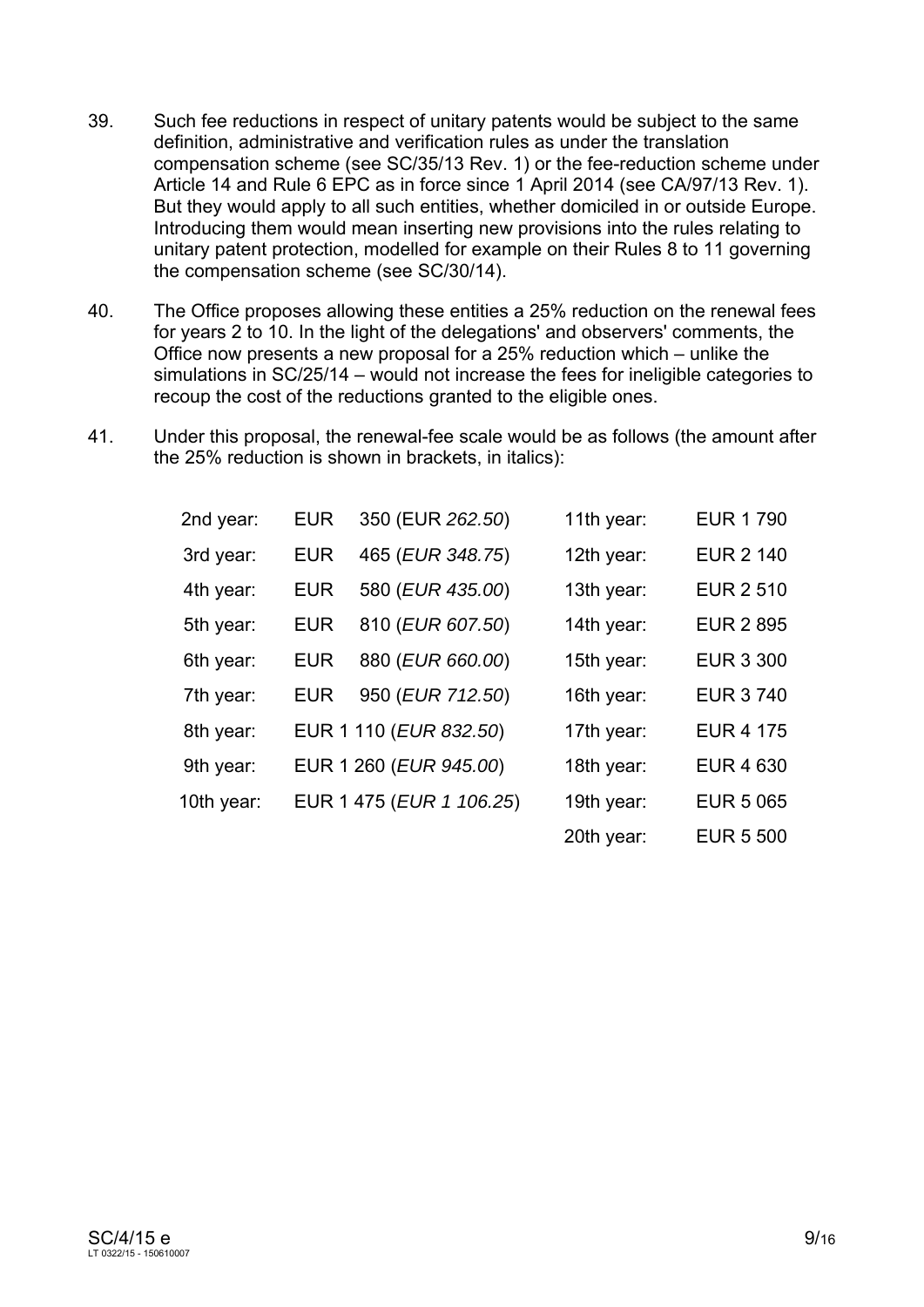- 39. Such fee reductions in respect of unitary patents would be subject to the same definition, administrative and verification rules as under the translation compensation scheme (see SC/35/13 Rev. 1) or the fee-reduction scheme under Article 14 and Rule 6 EPC as in force since 1 April 2014 (see CA/97/13 Rev. 1). But they would apply to all such entities, whether domiciled in or outside Europe. Introducing them would mean inserting new provisions into the rules relating to unitary patent protection, modelled for example on their Rules 8 to 11 governing the compensation scheme (see SC/30/14).
- 40. The Office proposes allowing these entities a 25% reduction on the renewal fees for years 2 to 10. In the light of the delegations' and observers' comments, the Office now presents a new proposal for a 25% reduction which – unlike the simulations in SC/25/14 – would not increase the fees for ineligible categories to recoup the cost of the reductions granted to the eligible ones.
- 41. Under this proposal, the renewal-fee scale would be as follows (the amount after the 25% reduction is shown in brackets, in italics):

| 2nd year:  | <b>EUR</b> | 350 (EUR 262.50)                  | 11th year: | <b>EUR 1790</b>  |
|------------|------------|-----------------------------------|------------|------------------|
| 3rd year:  | <b>EUR</b> | 465 (EUR 348.75)                  | 12th year: | <b>EUR 2 140</b> |
| 4th year:  | <b>EUR</b> | 580 (EUR 435.00)                  | 13th year: | <b>EUR 2 510</b> |
| 5th year:  | <b>EUR</b> | 810 (EUR 607.50)                  | 14th year: | <b>EUR 2 895</b> |
| 6th year:  | <b>EUR</b> | 880 (EUR 660.00)                  | 15th year: | <b>EUR 3 300</b> |
| 7th year:  | <b>EUR</b> | 950 (EUR 712.50)                  | 16th year: | <b>EUR 3740</b>  |
| 8th year:  |            | EUR 1 110 ( <i>EUR 832.50</i> )   | 17th year: | <b>EUR 4 175</b> |
| 9th year:  |            | EUR 1 260 ( <i>EUR 945.00</i> )   | 18th year: | <b>EUR 4 630</b> |
| 10th year: |            | EUR 1 475 ( <i>EUR 1 106.25</i> ) | 19th year: | <b>EUR 5 065</b> |
|            |            |                                   | 20th year: | <b>EUR 5 500</b> |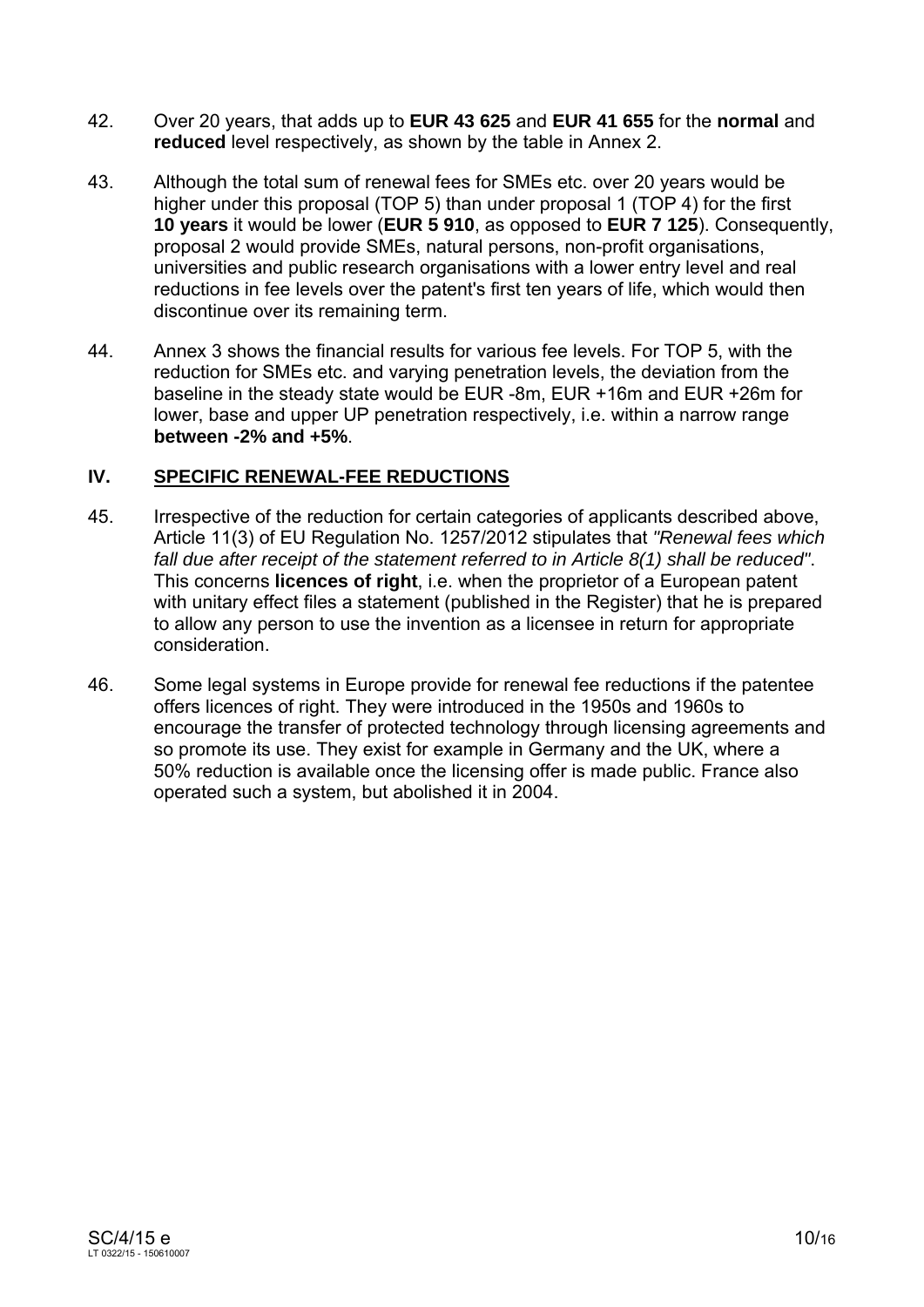- 42. Over 20 years, that adds up to **EUR 43 625** and **EUR 41 655** for the **normal** and **reduced** level respectively, as shown by the table in Annex 2.
- 43. Although the total sum of renewal fees for SMEs etc. over 20 years would be higher under this proposal (TOP 5) than under proposal 1 (TOP 4) for the first **10 years** it would be lower (**EUR 5 910**, as opposed to **EUR 7 125**). Consequently, proposal 2 would provide SMEs, natural persons, non-profit organisations, universities and public research organisations with a lower entry level and real reductions in fee levels over the patent's first ten years of life, which would then discontinue over its remaining term.
- 44. Annex 3 shows the financial results for various fee levels. For TOP 5, with the reduction for SMEs etc. and varying penetration levels, the deviation from the baseline in the steady state would be EUR -8m, EUR +16m and EUR +26m for lower, base and upper UP penetration respectively, i.e. within a narrow range **between -2% and +5%**.

### **IV. SPECIFIC RENEWAL-FEE REDUCTIONS**

- 45. Irrespective of the reduction for certain categories of applicants described above, Article 11(3) of EU Regulation No. 1257/2012 stipulates that *"Renewal fees which fall due after receipt of the statement referred to in Article 8(1) shall be reduced"*. This concerns **licences of right**, i.e. when the proprietor of a European patent with unitary effect files a statement (published in the Register) that he is prepared to allow any person to use the invention as a licensee in return for appropriate consideration.
- 46. Some legal systems in Europe provide for renewal fee reductions if the patentee offers licences of right. They were introduced in the 1950s and 1960s to encourage the transfer of protected technology through licensing agreements and so promote its use. They exist for example in Germany and the UK, where a 50% reduction is available once the licensing offer is made public. France also operated such a system, but abolished it in 2004.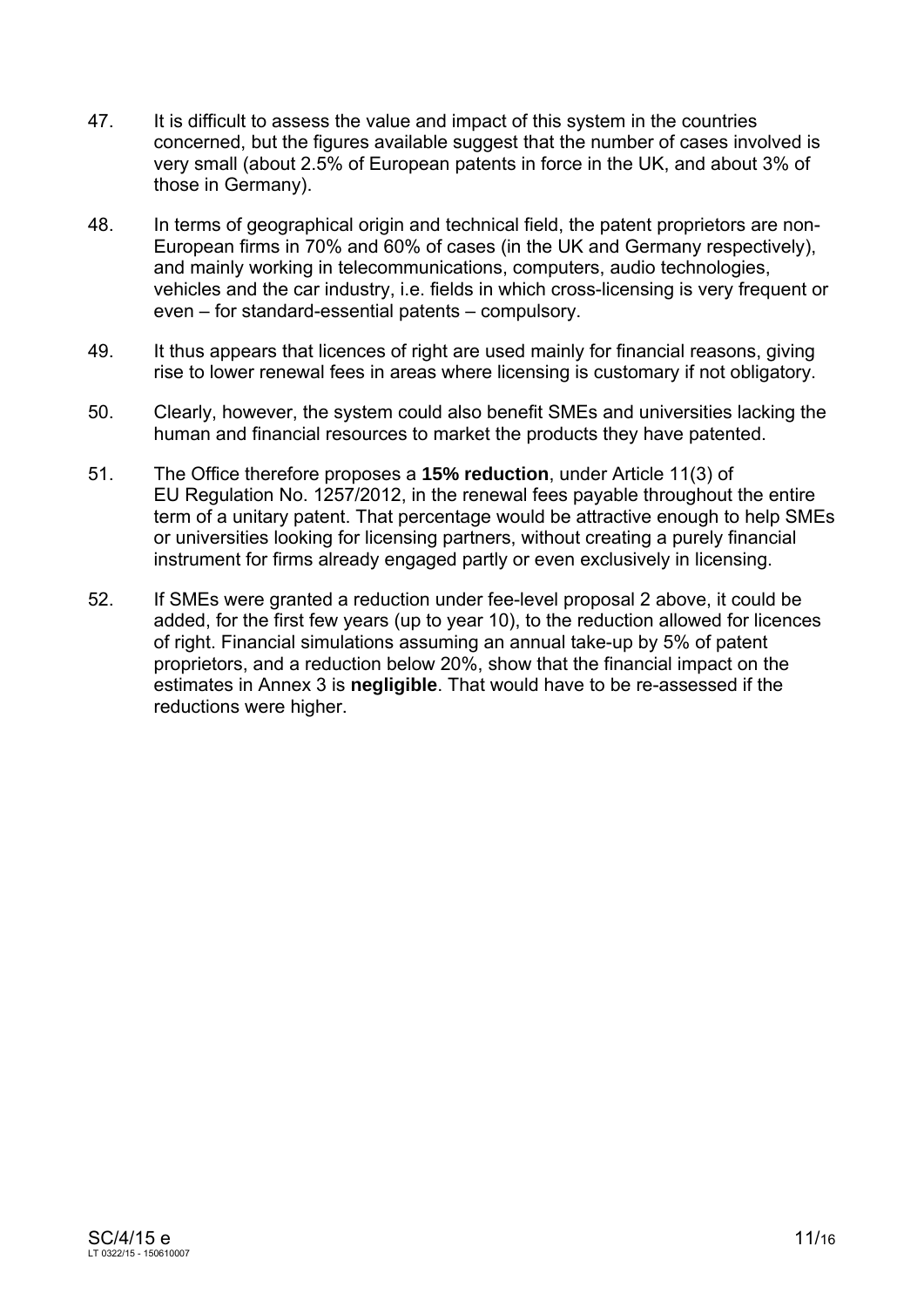- 47. It is difficult to assess the value and impact of this system in the countries concerned, but the figures available suggest that the number of cases involved is very small (about 2.5% of European patents in force in the UK, and about 3% of those in Germany).
- 48. In terms of geographical origin and technical field, the patent proprietors are non-European firms in 70% and 60% of cases (in the UK and Germany respectively), and mainly working in telecommunications, computers, audio technologies, vehicles and the car industry, i.e. fields in which cross-licensing is very frequent or even – for standard-essential patents – compulsory.
- 49. It thus appears that licences of right are used mainly for financial reasons, giving rise to lower renewal fees in areas where licensing is customary if not obligatory.
- 50. Clearly, however, the system could also benefit SMEs and universities lacking the human and financial resources to market the products they have patented.
- 51. The Office therefore proposes a **15% reduction**, under Article 11(3) of EU Regulation No. 1257/2012, in the renewal fees payable throughout the entire term of a unitary patent. That percentage would be attractive enough to help SMEs or universities looking for licensing partners, without creating a purely financial instrument for firms already engaged partly or even exclusively in licensing.
- 52. If SMEs were granted a reduction under fee-level proposal 2 above, it could be added, for the first few years (up to year 10), to the reduction allowed for licences of right. Financial simulations assuming an annual take-up by 5% of patent proprietors, and a reduction below 20%, show that the financial impact on the estimates in Annex 3 is **negligible**. That would have to be re-assessed if the reductions were higher.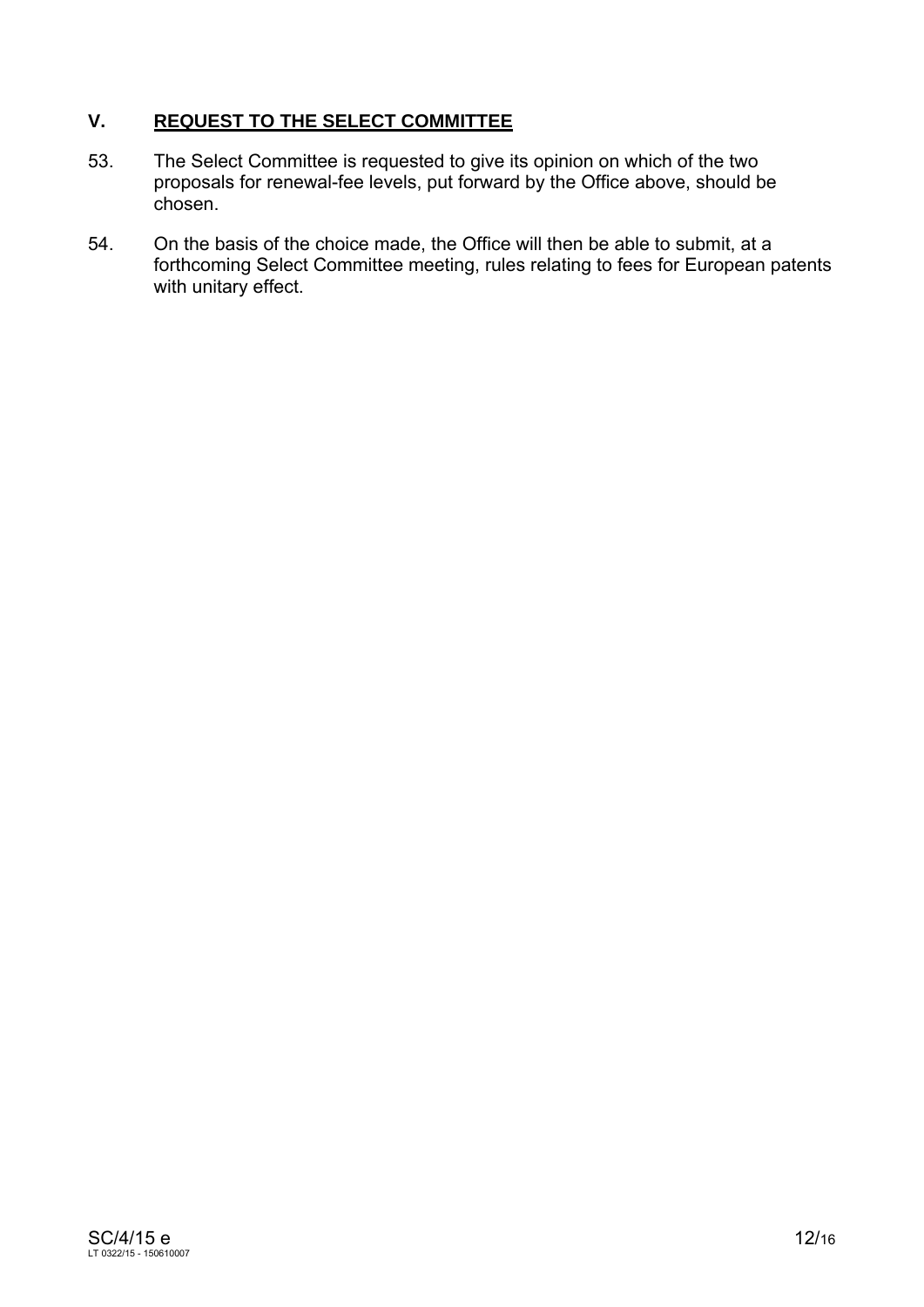# **V. REQUEST TO THE SELECT COMMITTEE**

- 53. The Select Committee is requested to give its opinion on which of the two proposals for renewal-fee levels, put forward by the Office above, should be chosen.
- 54. On the basis of the choice made, the Office will then be able to submit, at a forthcoming Select Committee meeting, rules relating to fees for European patents with unitary effect.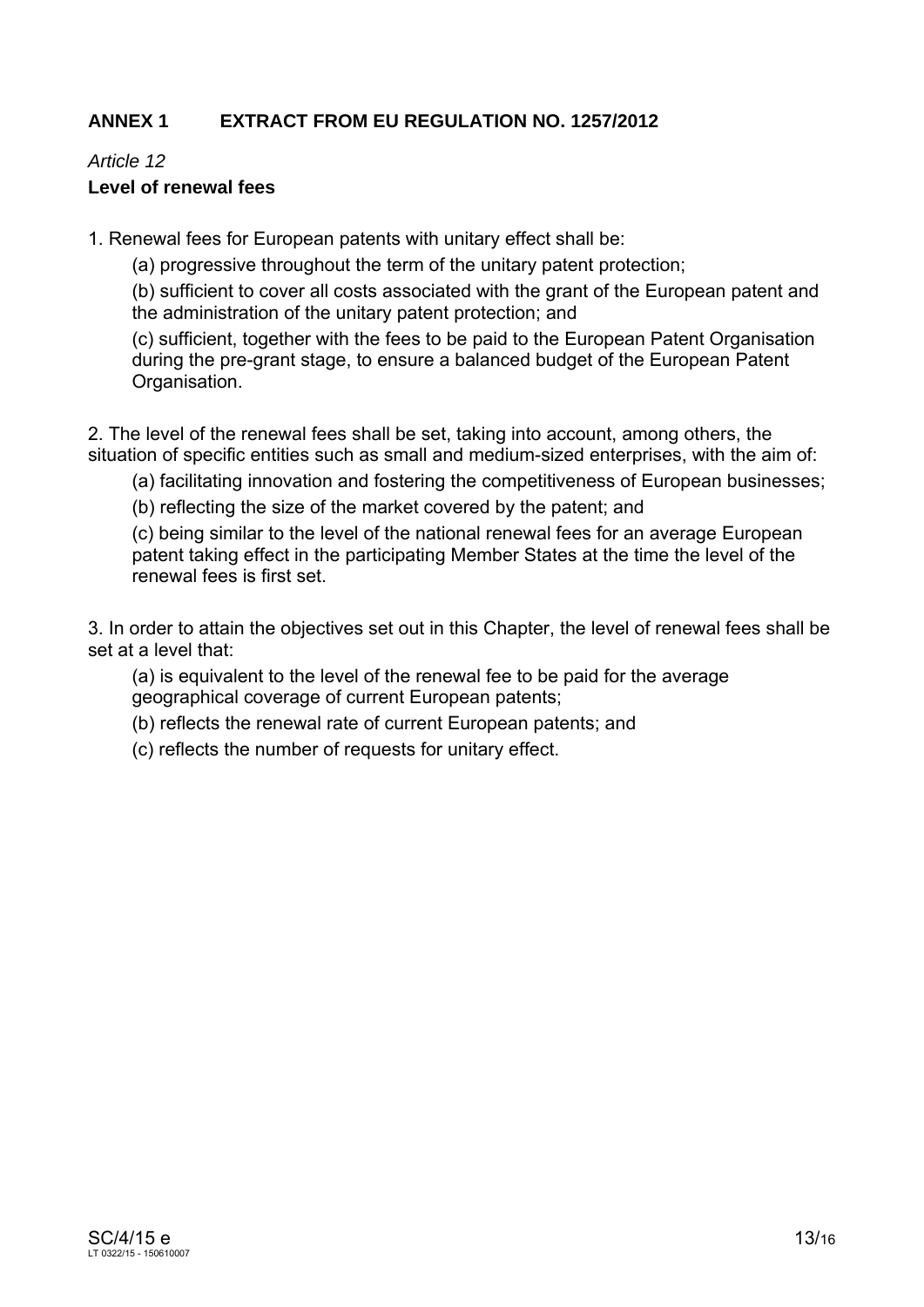# **ANNEX 1 EXTRACT FROM EU REGULATION NO. 1257/2012**

### *Article 12*

### **Level of renewal fees**

1. Renewal fees for European patents with unitary effect shall be:

(a) progressive throughout the term of the unitary patent protection;

(b) sufficient to cover all costs associated with the grant of the European patent and the administration of the unitary patent protection; and

(c) sufficient, together with the fees to be paid to the European Patent Organisation during the pre-grant stage, to ensure a balanced budget of the European Patent Organisation.

2. The level of the renewal fees shall be set, taking into account, among others, the situation of specific entities such as small and medium-sized enterprises, with the aim of:

(a) facilitating innovation and fostering the competitiveness of European businesses;

(b) reflecting the size of the market covered by the patent; and

(c) being similar to the level of the national renewal fees for an average European patent taking effect in the participating Member States at the time the level of the renewal fees is first set.

3. In order to attain the objectives set out in this Chapter, the level of renewal fees shall be set at a level that:

(a) is equivalent to the level of the renewal fee to be paid for the average geographical coverage of current European patents;

(b) reflects the renewal rate of current European patents; and

(c) reflects the number of requests for unitary effect.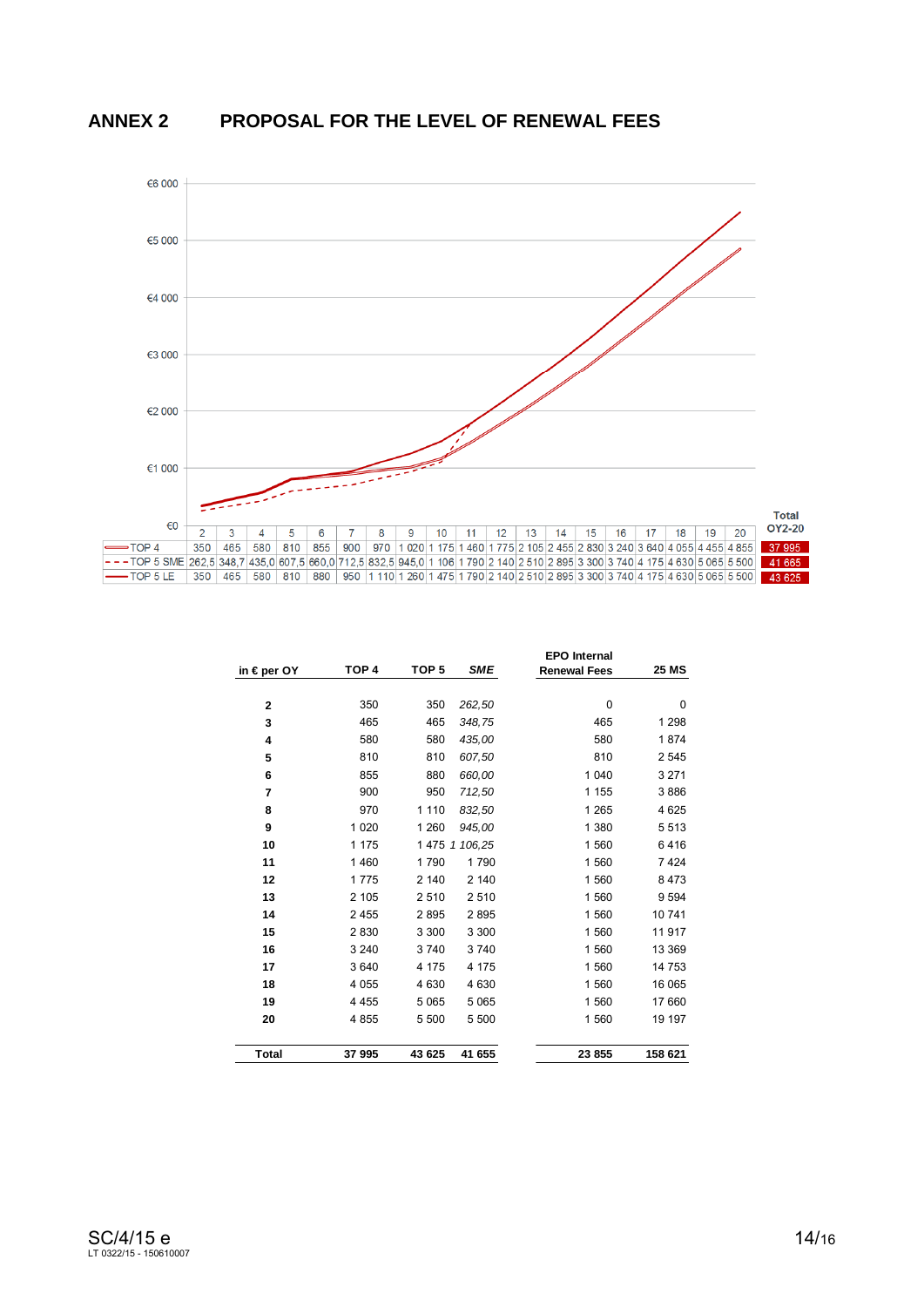



| in $\epsilon$ per OY | TOP <sub>4</sub> | TOP <sub>5</sub> | <b>SME</b>     | <b>EPO</b> Internal<br><b>Renewal Fees</b> | <b>25 MS</b> |
|----------------------|------------------|------------------|----------------|--------------------------------------------|--------------|
|                      |                  |                  |                |                                            |              |
| $\mathbf{2}$         | 350              | 350              | 262,50         | 0                                          | 0            |
| 3                    | 465              | 465              | 348,75         | 465                                        | 1 2 9 8      |
| 4                    | 580              | 580              | 435,00         | 580                                        | 1874         |
| 5                    | 810              | 810              | 607,50         | 810                                        | 2 5 4 5      |
| 6                    | 855              | 880              | 660,00         | 1 0 4 0                                    | 3 2 7 1      |
| 7                    | 900              | 950              | 712,50         | 1 1 5 5                                    | 3886         |
| 8                    | 970              | 1 1 1 0          | 832,50         | 1 2 6 5                                    | 4 6 2 5      |
| 9                    | 1 0 2 0          | 1 260            | 945,00         | 1 3 8 0                                    | 5513         |
| 10                   | 1 1 7 5          |                  | 1 475 1 106,25 | 1560                                       | 6416         |
| 11                   | 1460             | 1790             | 1790           | 1 560                                      | 7424         |
| 12                   | 1775             | 2 140            | 2 140          | 1 560                                      | 8 4 7 3      |
| 13                   | 2 1 0 5          | 2 5 1 0          | 2510           | 1560                                       | 9 5 9 4      |
| 14                   | 2 4 5 5          | 2895             | 2895           | 1560                                       | 10741        |
| 15                   | 2830             | 3 3 0 0          | 3 3 0 0        | 1560                                       | 11 917       |
| 16                   | 3 2 4 0          | 3740             | 3740           | 1560                                       | 13 369       |
| 17                   | 3640             | 4 175            | 4 175          | 1560                                       | 14 753       |
| 18                   | 4 0 5 5          | 4 6 3 0          | 4 6 3 0        | 1 560                                      | 16 065       |
| 19                   | 4 4 5 5          | 5 0 6 5          | 5 0 6 5        | 1 560                                      | 17 660       |
| 20                   | 4 8 5 5          | 5 500            | 5 500          | 1 560                                      | 19 197       |
| Total                | 37 995           | 43 625           | 41 655         | 23 855                                     | 158 621      |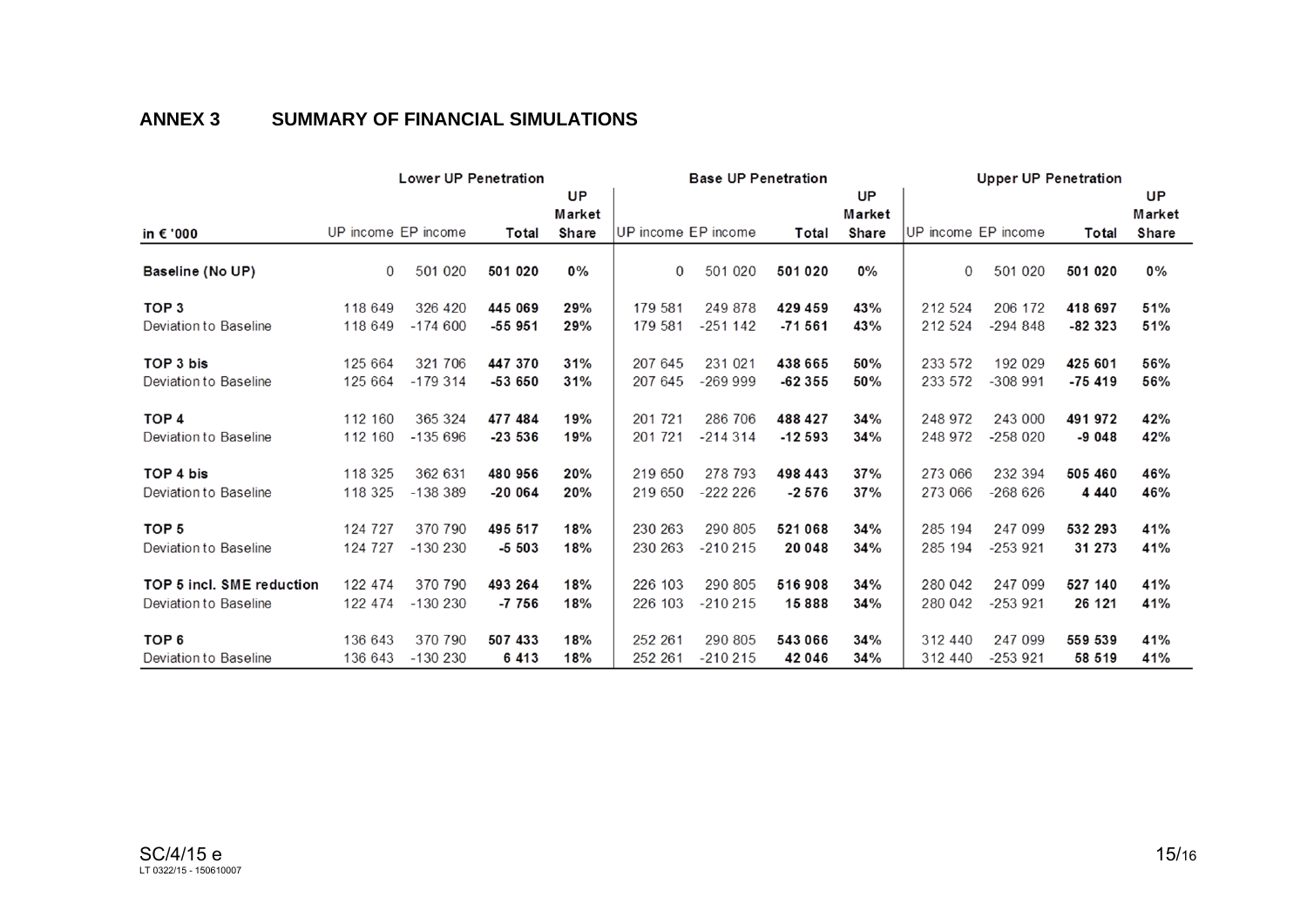# **ANNEX 3 SUMMARY OF FINANCIAL SIMULATIONS**

|                           |                     | <b>Lower UP Penetration</b> |           |              |                     | <b>Base UP Penetration</b> |          |              | <b>Upper UP Penetration</b> |           |          |              |  |
|---------------------------|---------------------|-----------------------------|-----------|--------------|---------------------|----------------------------|----------|--------------|-----------------------------|-----------|----------|--------------|--|
|                           |                     |                             |           | UP           |                     |                            |          | UP           |                             |           |          | UP           |  |
|                           |                     |                             |           | Market       |                     |                            |          | Market       |                             |           |          | Market       |  |
| in € '000                 | UP income EP income |                             | Total     | <b>Share</b> | UP income EP income |                            | Total    | <b>Share</b> | UP income EP income         |           | Total    | <b>Share</b> |  |
| Baseline (No UP)          | 0                   | 501 020                     | 501 020   | $0\%$        | 0                   | 501 020                    | 501 020  | $0\%$        | $\mathbf 0$                 | 501 020   | 501 020  | $0\%$        |  |
| TOP <sub>3</sub>          | 118 649             | 326 420                     | 445 069   | 29%          | 179 581             | 249 878                    | 429 459  | 43%          | 212 524                     | 206 172   | 418 697  | 51%          |  |
| Deviation to Baseline     | 118 649             | $-174600$                   | $-55951$  | 29%          | 179 581             | $-251142$                  | -71 561  | 43%          | 212 524                     | $-294848$ | -82 323  | 51%          |  |
| TOP 3 bis                 | 125 664             | 321 706                     | 447 370   | 31%          | 207 645             | 231 021                    | 438 665  | 50%          | 233 572                     | 192 029   | 425 601  | 56%          |  |
| Deviation to Baseline     | 125 664             | $-179.314$                  | $-53650$  | 31%          | 207 645             | $-269999$                  | $-62355$ | 50%          | 233 572                     | $-308991$ | $-75419$ | 56%          |  |
| TOP <sub>4</sub>          | 112 160             | 365 324                     | 477 484   | 19%          | 201 721             | 286 706                    | 488 427  | 34%          | 248 972                     | 243 000   | 491 972  | 42%          |  |
| Deviation to Baseline     | 112 160             | $-135696$                   | $-235536$ | 19%          | 201 721             | $-214314$                  | $-12593$ | 34%          | 248 972                     | $-258020$ | $-9048$  | 42%          |  |
| TOP 4 bis                 | 118 325             | 362 631                     | 480 956   | 20%          | 219 650             | 278 793                    | 498 443  | 37%          | 273 066                     | 232 394   | 505 460  | 46%          |  |
| Deviation to Baseline     | 118 325             | $-138389$                   | $-200064$ | 20%          | 219 650             | $-222226$                  | $-2576$  | 37%          | 273 066                     | $-268626$ | 4 4 4 0  | 46%          |  |
| TOP <sub>5</sub>          | 124 727             | 370 790                     | 495 517   | 18%          | 230 263             | 290 805                    | 521068   | 34%          | 285 194                     | 247 099   | 532 293  | 41%          |  |
| Deviation to Baseline     | 124 727             | $-130230$                   | $-5503$   | 18%          | 230 263             | $-210215$                  | 20 048   | 34%          | 285 194                     | $-253921$ | 31 273   | 41%          |  |
| TOP 5 incl. SME reduction | 122 474             | 370 790                     | 493 264   | 18%          | 226 103             | 290 805                    | 516908   | 34%          | 280 042                     | 247 099   | 527 140  | 41%          |  |
| Deviation to Baseline     | 122 474             | $-130230$                   | -7 756    | 18%          | 226 103             | $-210215$                  | 15888    | 34%          | 280 042                     | $-253921$ | 26 121   | 41%          |  |
| TOP <sub>6</sub>          | 136 643             | 370 790                     | 507 433   | 18%          | 252 261             | 290 805                    | 543 066  | 34%          | 312 440                     | 247 099   | 559 539  | 41%          |  |
| Deviation to Baseline     | 136 643             | $-130230$                   | 6413      | 18%          | 252 261             | $-210215$                  | 42 046   | 34%          | 312 440                     | $-253921$ | 58 519   | 41%          |  |